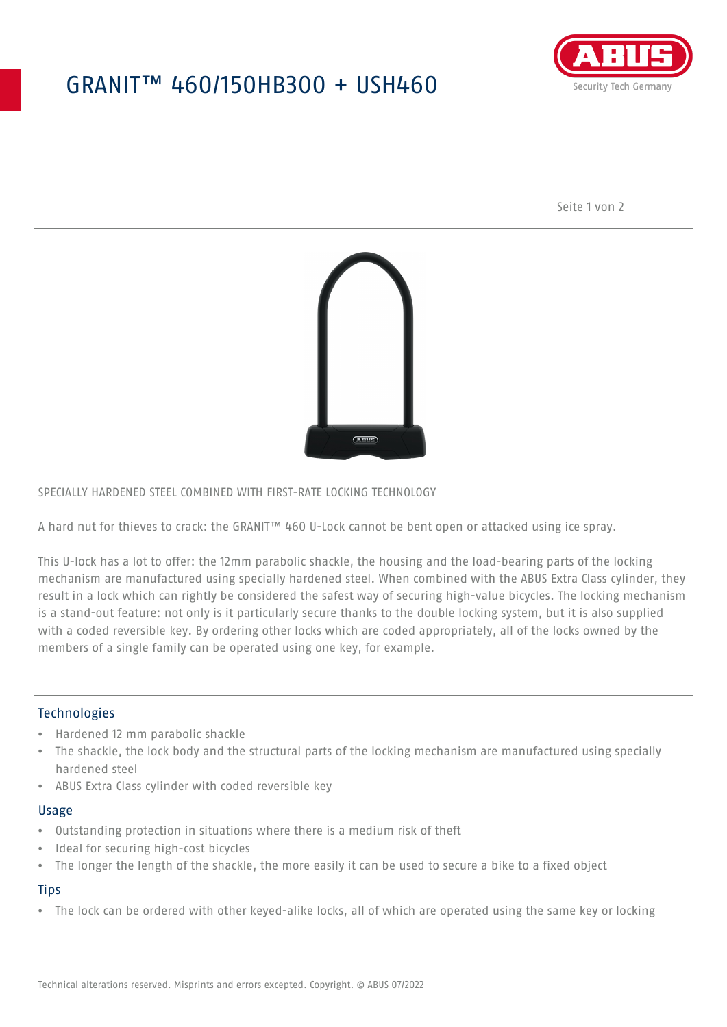# GRANIT™ 460/150HB300 + USH460



Seite 1 von 2



### SPECIALLY HARDENED STEEL COMBINED WITH FIRST-RATE LOCKING TECHNOLOGY

A hard nut for thieves to crack: the GRANIT™ 460 U-Lock cannot be bent open or attacked using ice spray.

This U-lock has a lot to offer: the 12mm parabolic shackle, the housing and the load-bearing parts of the locking mechanism are manufactured using specially hardened steel. When combined with the ABUS Extra Class cylinder, they result in a lock which can rightly be considered the safest way of securing high-value bicycles. The locking mechanism is a stand-out feature: not only is it particularly secure thanks to the double locking system, but it is also supplied with a coded reversible key. By ordering other locks which are coded appropriately, all of the locks owned by the members of a single family can be operated using one key, for example.

### **Technologies**

- Hardened 12 mm parabolic shackle
- The shackle, the lock body and the structural parts of the locking mechanism are manufactured using specially hardened steel
- ABUS Extra Class cylinder with coded reversible key

#### Usage

- Outstanding protection in situations where there is a medium risk of theft
- Ideal for securing high-cost bicycles
- The longer the length of the shackle, the more easily it can be used to secure a bike to a fixed object

## **Tips**

• The lock can be ordered with other keyed-alike locks, all of which are operated using the same key or locking